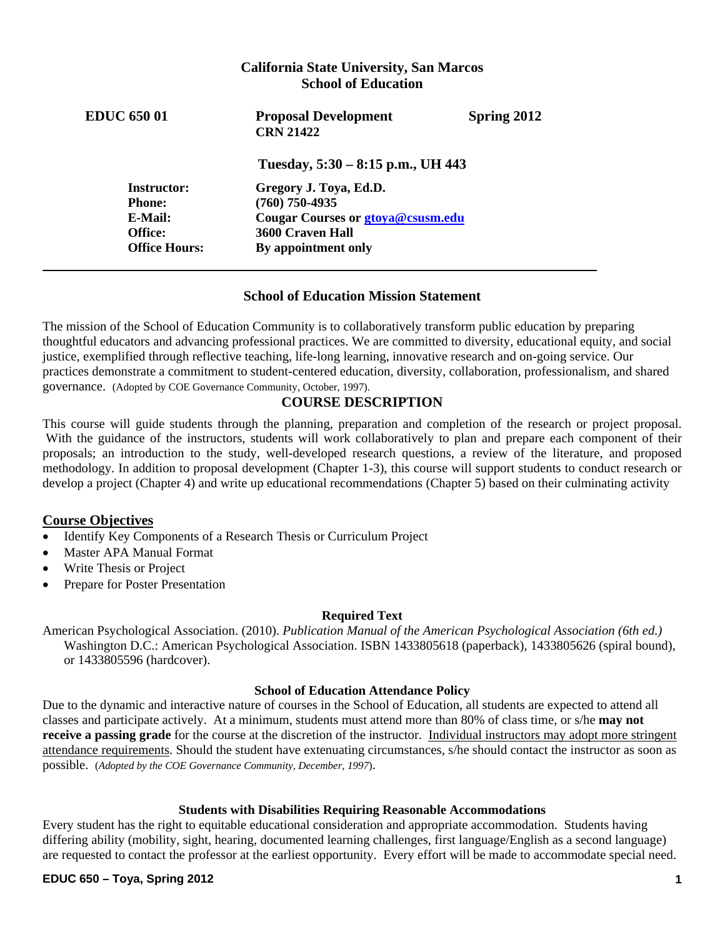# **Tuesday, 5:30 – 8:15 p.m., UH 443 Instructor: Gregory J. Toya, Ed.D. California State University, San Marcos School of Education EDUC 650 01 Proposal Development Spring 2012 CRN 21422 Phone: (760) 750-4935 E-Mail: Cougar Courses or gtoya@csusm.edu Office: 3600 Craven Hall Office Hours: By appointment only**

# **School of Education Mission Statement**

The mission of the School of Education Community is to collaboratively transform public education by preparing thoughtful educators and advancing professional practices. We are committed to diversity, educational equity, and social justice, exemplified through reflective teaching, life-long learning, innovative research and on-going service. Our practices demonstrate a commitment to student-centered education, diversity, collaboration, professionalism, and shared governance. (Adopted by COE Governance Community, October, 1997).

# **COURSE DESCRIPTION**

This course will guide students through the planning, preparation and completion of the research or project proposal. With the guidance of the instructors, students will work collaboratively to plan and prepare each component of their proposals; an introduction to the study, well-developed research questions, a review of the literature, and proposed methodology. In addition to proposal development (Chapter 1-3), this course will support students to conduct research or develop a project (Chapter 4) and write up educational recommendations (Chapter 5) based on their culminating activity

## **Course Objectives**

- Identify Key Components of a Research Thesis or Curriculum Project
- Master APA Manual Format
- Write Thesis or Project
- Prepare for Poster Presentation

## **Required Text**

American Psychological Association. (2010). *Publication Manual of the American Psychological Association (6th ed.)*  Washington D.C.: American Psychological Association. ISBN 1433805618 (paperback), 1433805626 (spiral bound), or 1433805596 (hardcover).

## **School of Education Attendance Policy**

Due to the dynamic and interactive nature of courses in the School of Education, all students are expected to attend all classes and participate actively. At a minimum, students must attend more than 80% of class time, or s/he **may not receive a passing grade** for the course at the discretion of the instructor. Individual instructors may adopt more stringent attendance requirements. Should the student have extenuating circumstances, s/he should contact the instructor as soon as possible. (*Adopted by the COE Governance Community, December, 1997*).

## **Students with Disabilities Requiring Reasonable Accommodations**

Every student has the right to equitable educational consideration and appropriate accommodation. Students having differing ability (mobility, sight, hearing, documented learning challenges, first language/English as a second language) are requested to contact the professor at the earliest opportunity. Every effort will be made to accommodate special need.

## **EDUC 650 – Toya, Spring 2012 1**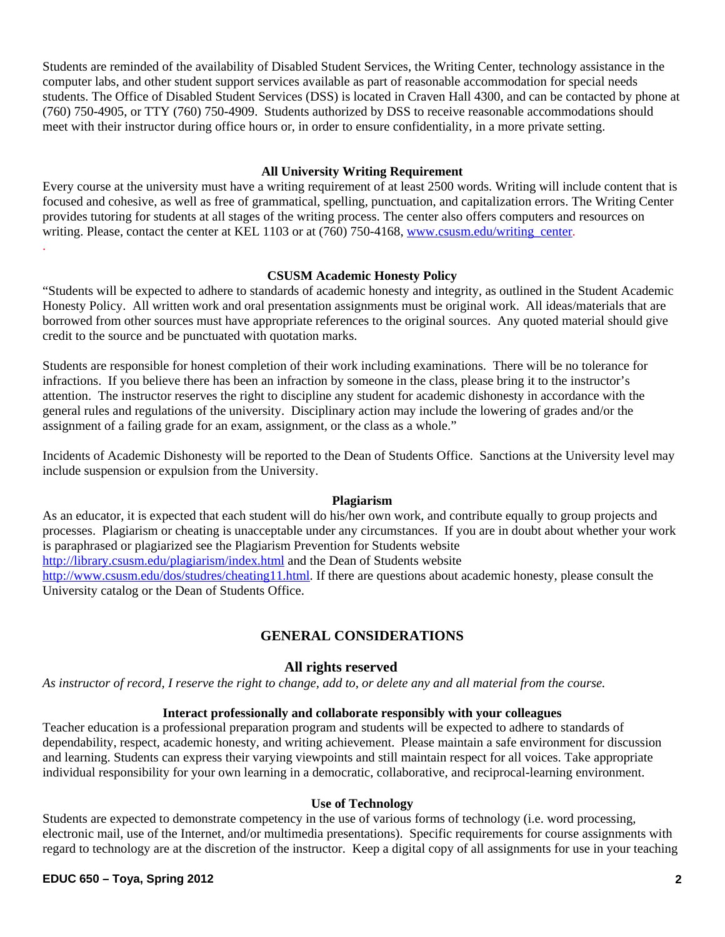Students are reminded of the availability of Disabled Student Services, the Writing Center, technology assistance in the computer labs, and other student support services available as part of reasonable accommodation for special needs students. The Office of Disabled Student Services (DSS) is located in Craven Hall 4300, and can be contacted by phone at (760) 750-4905, or TTY (760) 750-4909. Students authorized by DSS to receive reasonable accommodations should meet with their instructor during office hours or, in order to ensure confidentiality, in a more private setting.

## **All University Writing Requirement**

Every course at the university must have a writing requirement of at least 2500 words. Writing will include content that is focused and cohesive, as well as free of grammatical, spelling, punctuation, and capitalization errors. The Writing Center provides tutoring for students at all stages of the writing process. The center also offers computers and resources on writing. Please, contact the center at KEL 1103 or at (760) 750-4168, www.csusm.edu/writing\_center. .

#### **CSUSM Academic Honesty Policy**

"Students will be expected to adhere to standards of academic honesty and integrity, as outlined in the Student Academic Honesty Policy. All written work and oral presentation assignments must be original work. All ideas/materials that are borrowed from other sources must have appropriate references to the original sources. Any quoted material should give credit to the source and be punctuated with quotation marks.

Students are responsible for honest completion of their work including examinations. There will be no tolerance for infractions. If you believe there has been an infraction by someone in the class, please bring it to the instructor's attention. The instructor reserves the right to discipline any student for academic dishonesty in accordance with the general rules and regulations of the university. Disciplinary action may include the lowering of grades and/or the assignment of a failing grade for an exam, assignment, or the class as a whole."

Incidents of Academic Dishonesty will be reported to the Dean of Students Office. Sanctions at the University level may include suspension or expulsion from the University.

## **Plagiarism**

As an educator, it is expected that each student will do his/her own work, and contribute equally to group projects and processes. Plagiarism or cheating is unacceptable under any circumstances. If you are in doubt about whether your work is paraphrased or plagiarized see the Plagiarism Prevention for Students website http://library.csusm.edu/plagiarism/index.html and the Dean of Students website http://www.csusm.edu/dos/studres/cheating11.html. If there are questions about academic honesty, please consult the University catalog or the Dean of Students Office.

## **GENERAL CONSIDERATIONS**

## **All rights reserved**

*As instructor of record, I reserve the right to change, add to, or delete any and all material from the course.* 

#### **Interact professionally and collaborate responsibly with your colleagues**

Teacher education is a professional preparation program and students will be expected to adhere to standards of dependability, respect, academic honesty, and writing achievement. Please maintain a safe environment for discussion and learning. Students can express their varying viewpoints and still maintain respect for all voices. Take appropriate individual responsibility for your own learning in a democratic, collaborative, and reciprocal-learning environment.

#### **Use of Technology**

Students are expected to demonstrate competency in the use of various forms of technology (i.e. word processing, electronic mail, use of the Internet, and/or multimedia presentations). Specific requirements for course assignments with regard to technology are at the discretion of the instructor. Keep a digital copy of all assignments for use in your teaching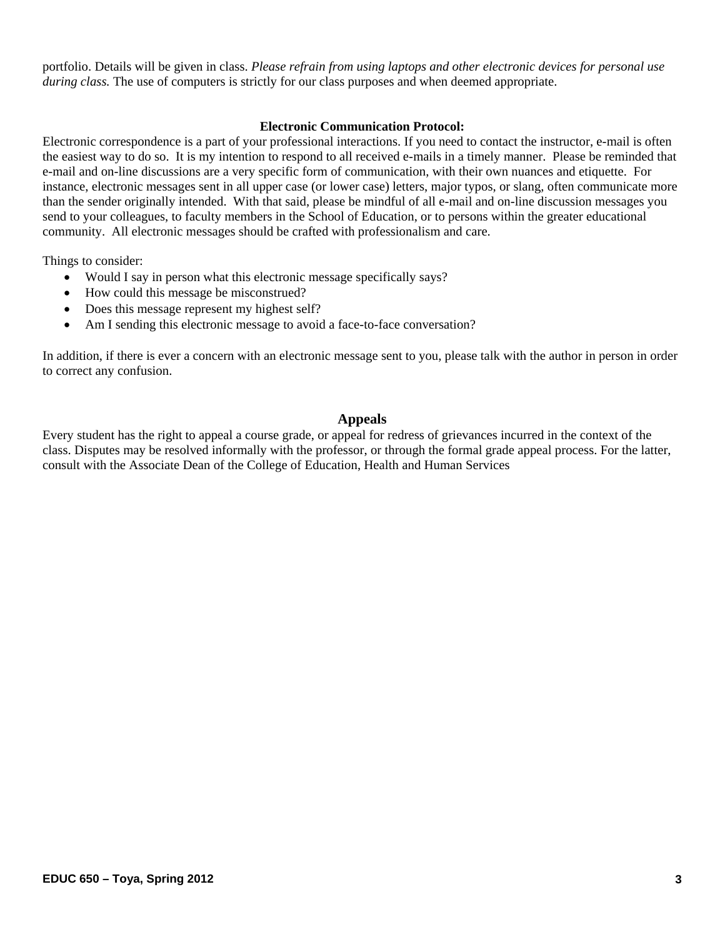portfolio. Details will be given in class. *Please refrain from using laptops and other electronic devices for personal use during class.* The use of computers is strictly for our class purposes and when deemed appropriate.

## **Electronic Communication Protocol:**

Electronic correspondence is a part of your professional interactions. If you need to contact the instructor, e-mail is often the easiest way to do so. It is my intention to respond to all received e-mails in a timely manner. Please be reminded that e-mail and on-line discussions are a very specific form of communication, with their own nuances and etiquette. For instance, electronic messages sent in all upper case (or lower case) letters, major typos, or slang, often communicate more than the sender originally intended. With that said, please be mindful of all e-mail and on-line discussion messages you send to your colleagues, to faculty members in the School of Education, or to persons within the greater educational community. All electronic messages should be crafted with professionalism and care.

Things to consider:

- Would I say in person what this electronic message specifically says?
- How could this message be misconstrued?
- Does this message represent my highest self?
- Am I sending this electronic message to avoid a face-to-face conversation?

In addition, if there is ever a concern with an electronic message sent to you, please talk with the author in person in order to correct any confusion.

## **Appeals**

Every student has the right to appeal a course grade, or appeal for redress of grievances incurred in the context of the class. Disputes may be resolved informally with the professor, or through the formal grade appeal process. For the latter, consult with the Associate Dean of the College of Education, Health and Human Services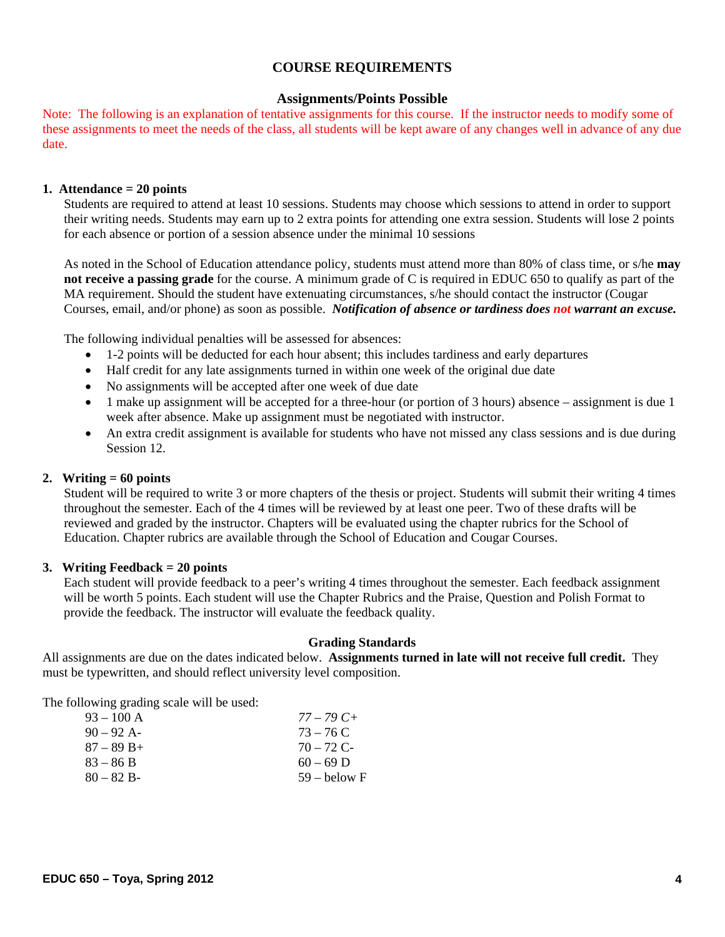## **COURSE REQUIREMENTS**

#### **Assignments/Points Possible**

 these assignments to meet the needs of the class, all students will be kept aware of any changes well in advance of any due Note: The following is an explanation of tentative assignments for this course. If the instructor needs to modify some of date.

#### **1. Attendance = 20 points**

Students are required to attend at least 10 sessions. Students may choose which sessions to attend in order to support their writing needs. Students may earn up to 2 extra points for attending one extra session. Students will lose 2 points for each absence or portion of a session absence under the minimal 10 sessions

As noted in the School of Education attendance policy, students must attend more than 80% of class time, or s/he **may not receive a passing grade** for the course. A minimum grade of C is required in EDUC 650 to qualify as part of the MA requirement. Should the student have extenuating circumstances, s/he should contact the instructor (Cougar Courses, email, and/or phone) as soon as possible. *Notification of absence or tardiness does not warrant an excuse.* 

The following individual penalties will be assessed for absences:

- 1-2 points will be deducted for each hour absent; this includes tardiness and early departures
- Half credit for any late assignments turned in within one week of the original due date
- No assignments will be accepted after one week of due date
- 1 make up assignment will be accepted for a three-hour (or portion of 3 hours) absence assignment is due 1 week after absence. Make up assignment must be negotiated with instructor.
- An extra credit assignment is available for students who have not missed any class sessions and is due during Session 12.

## **2. Writing = 60 points**

Student will be required to write 3 or more chapters of the thesis or project. Students will submit their writing 4 times throughout the semester. Each of the 4 times will be reviewed by at least one peer. Two of these drafts will be reviewed and graded by the instructor. Chapters will be evaluated using the chapter rubrics for the School of Education. Chapter rubrics are available through the School of Education and Cougar Courses.

#### **3. Writing Feedback = 20 points**

Each student will provide feedback to a peer's writing 4 times throughout the semester. Each feedback assignment will be worth 5 points. Each student will use the Chapter Rubrics and the Praise, Question and Polish Format to provide the feedback. The instructor will evaluate the feedback quality.

#### **Grading Standards**

All assignments are due on the dates indicated below. **Assignments turned in late will not receive full credit.** They must be typewritten, and should reflect university level composition.

The following grading scale will be used:

| 93 – 100 A   | $77 - 79C +$   |
|--------------|----------------|
| $90 - 92$ A- | $73 - 76$ C    |
| 87 – 89 B+   | $70 - 72$ C-   |
| 83 – 86 B    | $60 - 69$ D    |
| $80 - 82 B$  | $59 -$ below F |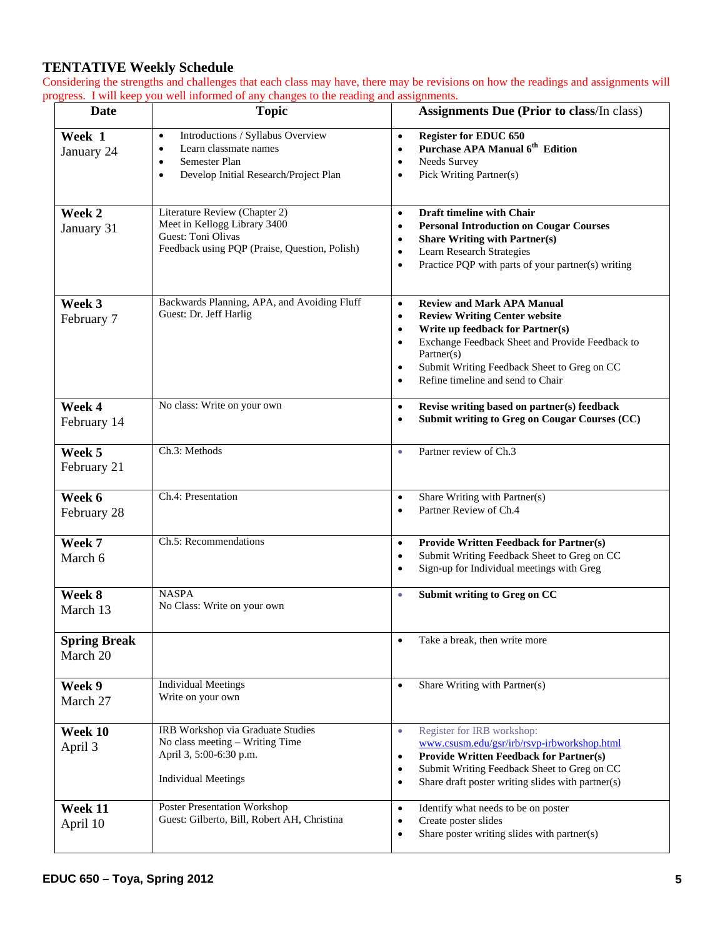# **TENTATIVE Weekly Schedule**

Considering the strengths and challenges that each class may have, there may be revisions on how the readings and assignments will progress. I will keep you well informed of any changes to the reading and assignments.

| <b>Date</b>                     | <b>Topic</b>                                                                                                                                                             | <b>Assignments Due (Prior to class/In class)</b>                                                                                                                                                                                                                                                                 |
|---------------------------------|--------------------------------------------------------------------------------------------------------------------------------------------------------------------------|------------------------------------------------------------------------------------------------------------------------------------------------------------------------------------------------------------------------------------------------------------------------------------------------------------------|
| Week 1<br>January 24            | Introductions / Syllabus Overview<br>$\bullet$<br>Learn classmate names<br>$\bullet$<br>Semester Plan<br>$\bullet$<br>Develop Initial Research/Project Plan<br>$\bullet$ | <b>Register for EDUC 650</b><br>$\bullet$<br>Purchase APA Manual 6 <sup>th</sup> Edition<br>$\bullet$<br>Needs Survey<br>٠<br>Pick Writing Partner(s)<br>٠                                                                                                                                                       |
| Week 2<br>January 31            | Literature Review (Chapter 2)<br>Meet in Kellogg Library 3400<br>Guest: Toni Olivas<br>Feedback using PQP (Praise, Question, Polish)                                     | Draft timeline with Chair<br>$\bullet$<br><b>Personal Introduction on Cougar Courses</b><br>٠<br><b>Share Writing with Partner(s)</b><br>٠<br>Learn Research Strategies<br>٠<br>Practice PQP with parts of your partner(s) writing<br>٠                                                                          |
| Week 3<br>February 7            | Backwards Planning, APA, and Avoiding Fluff<br>Guest: Dr. Jeff Harlig                                                                                                    | <b>Review and Mark APA Manual</b><br>$\bullet$<br><b>Review Writing Center website</b><br>٠<br>Write up feedback for Partner(s)<br>٠<br>Exchange Feedback Sheet and Provide Feedback to<br>٠<br>Partner(s)<br>Submit Writing Feedback Sheet to Greg on CC<br>٠<br>Refine timeline and send to Chair<br>$\bullet$ |
| Week 4<br>February 14           | No class: Write on your own                                                                                                                                              | Revise writing based on partner(s) feedback<br>$\bullet$<br>Submit writing to Greg on Cougar Courses (CC)<br>٠                                                                                                                                                                                                   |
| Week 5<br>February 21           | Ch.3: Methods                                                                                                                                                            | Partner review of Ch.3<br>٠                                                                                                                                                                                                                                                                                      |
| Week 6<br>February 28           | Ch.4: Presentation                                                                                                                                                       | Share Writing with Partner(s)<br>$\bullet$<br>Partner Review of Ch.4<br>$\bullet$                                                                                                                                                                                                                                |
| Week 7<br>March 6               | Ch.5: Recommendations                                                                                                                                                    | <b>Provide Written Feedback for Partner(s)</b><br>$\bullet$<br>Submit Writing Feedback Sheet to Greg on CC<br>٠<br>Sign-up for Individual meetings with Greg<br>٠                                                                                                                                                |
| Week 8<br>March 13              | <b>NASPA</b><br>No Class: Write on your own                                                                                                                              | Submit writing to Greg on CC<br>٠                                                                                                                                                                                                                                                                                |
| <b>Spring Break</b><br>March 20 |                                                                                                                                                                          | Take a break, then write more                                                                                                                                                                                                                                                                                    |
| Week 9<br>March 27              | <b>Individual Meetings</b><br>Write on your own                                                                                                                          | Share Writing with Partner(s)<br>$\bullet$                                                                                                                                                                                                                                                                       |
| Week 10<br>April 3              | IRB Workshop via Graduate Studies<br>No class meeting - Writing Time<br>April 3, 5:00-6:30 p.m.<br><b>Individual Meetings</b>                                            | Register for IRB workshop:<br>$\bullet$<br>www.csusm.edu/gsr/irb/rsvp-irbworkshop.html<br><b>Provide Written Feedback for Partner(s)</b><br>٠<br>Submit Writing Feedback Sheet to Greg on CC<br>٠<br>Share draft poster writing slides with partner(s)<br>٠                                                      |
| Week 11<br>April 10             | Poster Presentation Workshop<br>Guest: Gilberto, Bill, Robert AH, Christina                                                                                              | Identify what needs to be on poster<br>٠<br>Create poster slides<br>Share poster writing slides with partner(s)<br>٠                                                                                                                                                                                             |